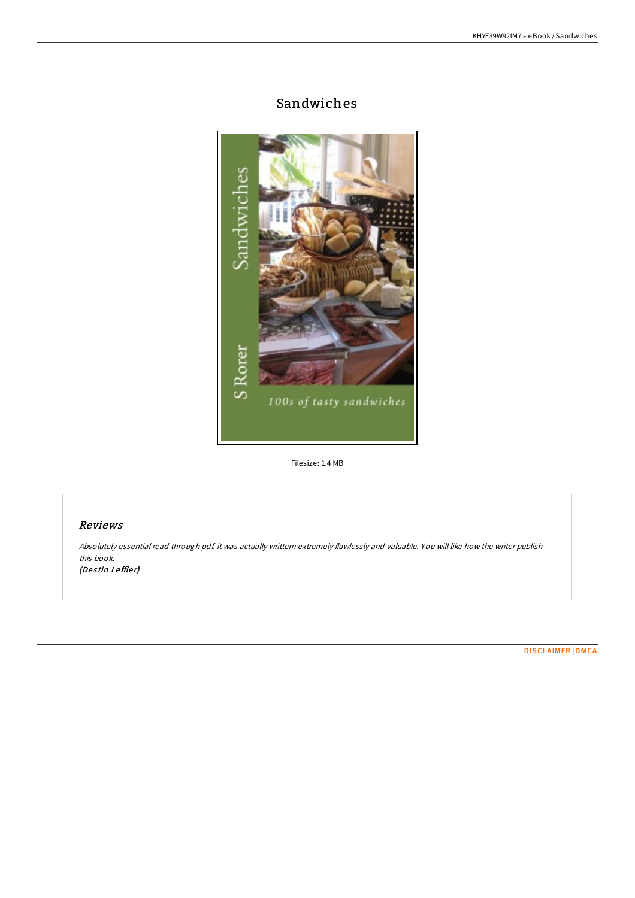# Sandwiches



Filesize: 1.4 MB

### Reviews

Absolutely essential read through pdf. it was actually writtern extremely flawlessly and valuable. You will like how the writer publish this book. (Destin Leffler)

[DISCLAIMER](http://almighty24.tech/disclaimer.html) | [DMCA](http://almighty24.tech/dmca.html)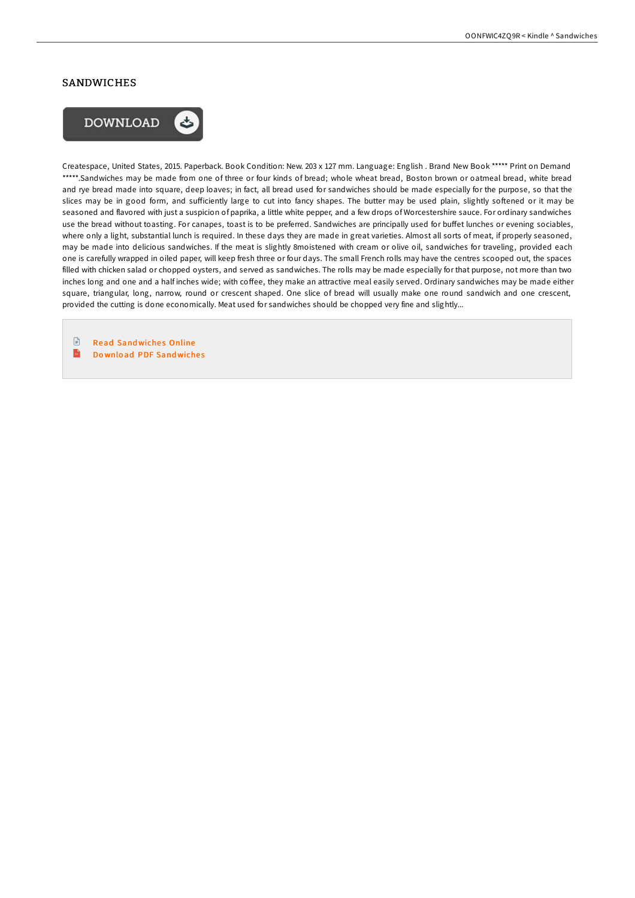#### SANDWICHES



Createspace, United States, 2015. Paperback. Book Condition: New. 203 x 127 mm. Language: English . Brand New Book \*\*\*\*\* Print on Demand \*\*\*\*\*.Sandwiches may be made from one of three or four kinds of bread; whole wheat bread, Boston brown or oatmeal bread, white bread and rye bread made into square, deep loaves; in fact, all bread used for sandwiches should be made especially for the purpose, so that the slices may be in good form, and sufficiently large to cut into fancy shapes. The butter may be used plain, slightly softened or it may be seasoned and flavored with just a suspicion of paprika, a little white pepper, and a few drops of Worcestershire sauce. For ordinary sandwiches use the bread without toasting. For canapes, toast is to be preferred. Sandwiches are principally used for buffet lunches or evening sociables, where only a light, substantial lunch is required. In these days they are made in great varieties. Almost all sorts of meat, if properly seasoned, may be made into delicious sandwiches. If the meat is slightly 8moistened with cream or olive oil, sandwiches for traveling, provided each one is carefully wrapped in oiled paper, will keep fresh three or four days. The small French rolls may have the centres scooped out, the spaces filled with chicken salad or chopped oysters, and served as sandwiches. The rolls may be made especially for that purpose, not more than two inches long and one and a half inches wide; with coffee, they make an attractive meal easily served. Ordinary sandwiches may be made either square, triangular, long, narrow, round or crescent shaped. One slice of bread will usually make one round sandwich and one crescent, provided the cutting is done economically. Meat used for sandwiches should be chopped very fine and slightly...

 $\begin{array}{c} \hline \end{array}$ **Read [Sandwiche](http://almighty24.tech/sandwiches-paperback.html)s Online**  $\overline{\mathbf{m}}$ Do wnload PDF [Sandwiche](http://almighty24.tech/sandwiches-paperback.html)s